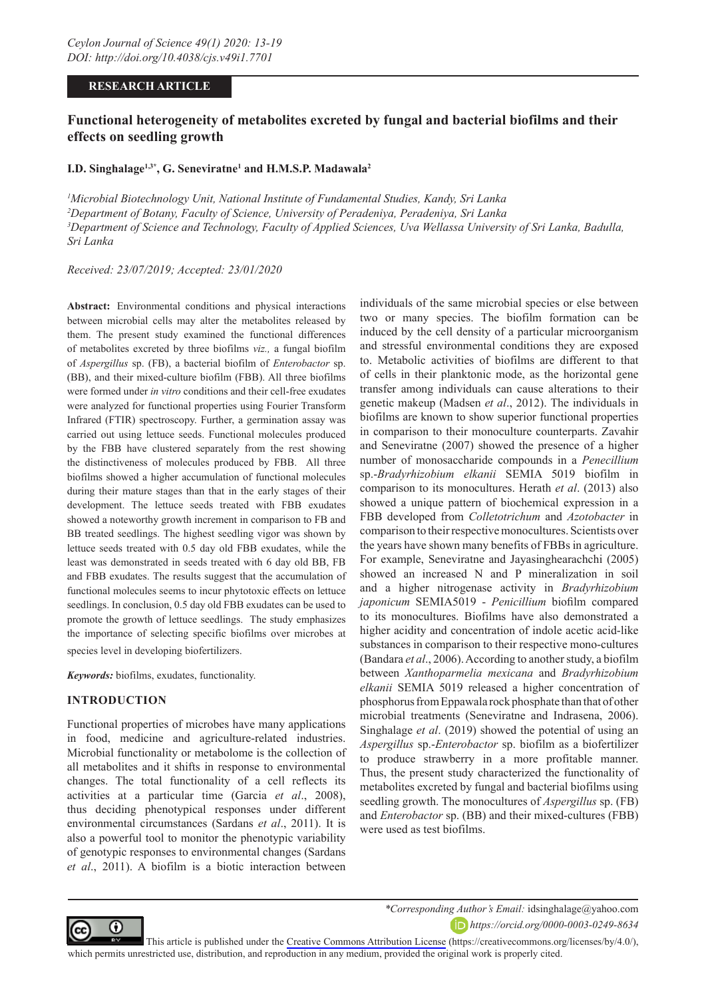### **RESEARCH ARTICLE**

# **Functional heterogeneity of metabolites excreted by fungal and bacterial biofilms and their effects on seedling growth**

## **I.D. Singhalage1,3\*, G. Seneviratne1 and H.M.S.P. Madawala2**

 *Microbial Biotechnology Unit, National Institute of Fundamental Studies, Kandy, Sri Lanka Department of Botany, Faculty of Science, University of Peradeniya, Peradeniya, Sri Lanka Department of Science and Technology, Faculty of Applied Sciences, Uva Wellassa University of Sri Lanka, Badulla, Sri Lanka*

*Received: 23/07/2019; Accepted: 23/01/2020*

**Abstract:** Environmental conditions and physical interactions between microbial cells may alter the metabolites released by them. The present study examined the functional differences of metabolites excreted by three biofilms *viz.,* a fungal biofilm of *Aspergillus* sp. (FB), a bacterial biofilm of *Enterobactor* sp. (BB), and their mixed-culture biofilm (FBB). All three biofilms were formed under *in vitro* conditions and their cell-free exudates were analyzed for functional properties using Fourier Transform Infrared (FTIR) spectroscopy. Further, a germination assay was carried out using lettuce seeds. Functional molecules produced by the FBB have clustered separately from the rest showing the distinctiveness of molecules produced by FBB. All three biofilms showed a higher accumulation of functional molecules during their mature stages than that in the early stages of their development. The lettuce seeds treated with FBB exudates showed a noteworthy growth increment in comparison to FB and BB treated seedlings. The highest seedling vigor was shown by lettuce seeds treated with 0.5 day old FBB exudates, while the least was demonstrated in seeds treated with 6 day old BB, FB and FBB exudates. The results suggest that the accumulation of functional molecules seems to incur phytotoxic effects on lettuce seedlings. In conclusion, 0.5 day old FBB exudates can be used to promote the growth of lettuce seedlings. The study emphasizes the importance of selecting specific biofilms over microbes at species level in developing biofertilizers.

*Keywords:* biofilms, exudates, functionality.

### **INTRODUCTION**

Functional properties of microbes have many applications in food, medicine and agriculture-related industries. Microbial functionality or metabolome is the collection of all metabolites and it shifts in response to environmental changes. The total functionality of a cell reflects its activities at a particular time (Garcia *et al*., 2008), thus deciding phenotypical responses under different environmental circumstances (Sardans *et al*., 2011). It is also a powerful tool to monitor the phenotypic variability of genotypic responses to environmental changes (Sardans *et al*., 2011). A biofilm is a biotic interaction between

individuals of the same microbial species or else between two or many species. The biofilm formation can be induced by the cell density of a particular microorganism and stressful environmental conditions they are exposed to. Metabolic activities of biofilms are different to that of cells in their planktonic mode, as the horizontal gene transfer among individuals can cause alterations to their genetic makeup (Madsen *et al*., 2012). The individuals in biofilms are known to show superior functional properties in comparison to their monoculture counterparts. Zavahir and Seneviratne (2007) showed the presence of a higher number of monosaccharide compounds in a *Penecillium* sp.-*Bradyrhizobium elkanii* SEMIA 5019 biofilm in comparison to its monocultures. Herath *et al*. (2013) also showed a unique pattern of biochemical expression in a FBB developed from *Colletotrichum* and *Azotobacter* in comparison to their respective monocultures. Scientists over the years have shown many benefits of FBBs in agriculture. For example, Seneviratne and Jayasinghearachchi (2005) showed an increased N and P mineralization in soil and a higher nitrogenase activity in *Bradyrhizobium japonicum* SEMIA5019 - *Penicillium* biofilm compared to its monocultures. Biofilms have also demonstrated a higher acidity and concentration of indole acetic acid-like substances in comparison to their respective mono-cultures (Bandara *et al*., 2006). According to another study, a biofilm between *Xanthoparmelia mexicana* and *Bradyrhizobium elkanii* SEMIA 5019 released a higher concentration of phosphorus from Eppawala rock phosphate than that of other microbial treatments (Seneviratne and Indrasena, 2006). Singhalage *et al*. (2019) showed the potential of using an *Aspergillus* sp.-*Enterobactor* sp. biofilm as a biofertilizer to produce strawberry in a more profitable manner. Thus, the present study characterized the functionality of metabolites excreted by fungal and bacterial biofilms using seedling growth. The monocultures of *Aspergillus* sp. (FB) and *Enterobactor* sp. (BB) and their mixed-cultures (FBB) were used as test biofilms.



*\*Corresponding Author's Email:* idsinghalage@yahoo.com *https://orcid.org/0000-0003-0249-8634*

This article is published under the [Creative Commons Attribution License](https://creativecommons.org/licenses/by/4.0/) (https://creativecommons.org/licenses/by/4.0/), which permits unrestricted use, distribution, and reproduction in any medium, provided the original work is properly cited.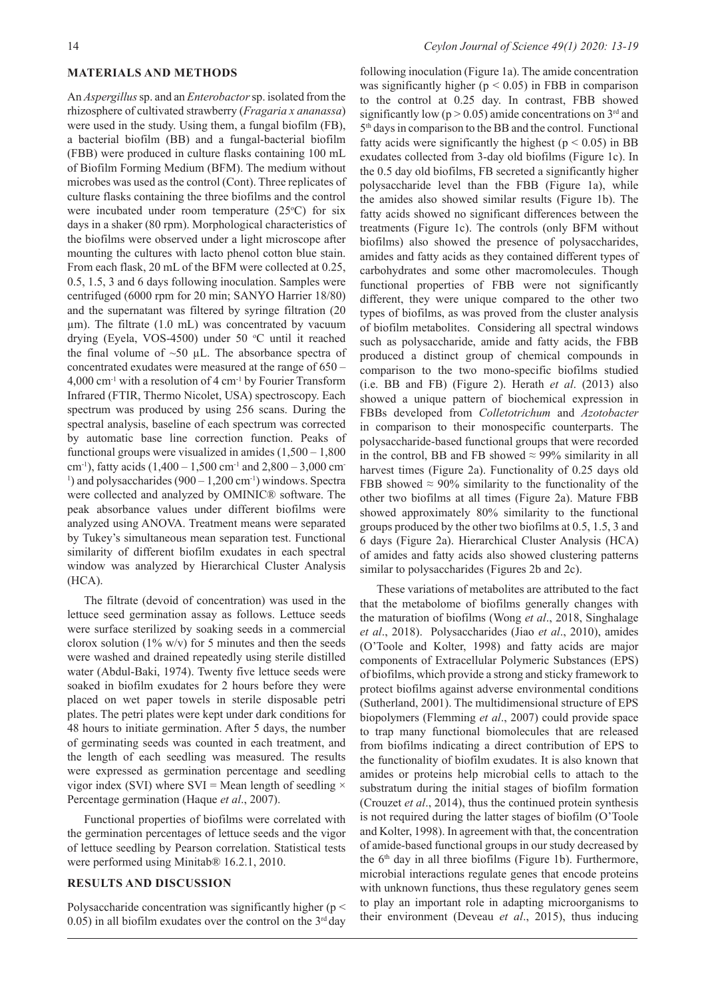### **MATERIALS AND METHODS**

An *Aspergillus* sp. and an *Enterobactor* sp. isolated from the rhizosphere of cultivated strawberry (*Fragaria x ananassa*) were used in the study. Using them, a fungal biofilm (FB), a bacterial biofilm (BB) and a fungal-bacterial biofilm (FBB) were produced in culture flasks containing 100 mL of Biofilm Forming Medium (BFM). The medium without microbes was used as the control (Cont). Three replicates of culture flasks containing the three biofilms and the control were incubated under room temperature  $(25^{\circ}C)$  for six days in a shaker (80 rpm). Morphological characteristics of the biofilms were observed under a light microscope after mounting the cultures with lacto phenol cotton blue stain. From each flask, 20 mL of the BFM were collected at 0.25, 0.5, 1.5, 3 and 6 days following inoculation. Samples were centrifuged (6000 rpm for 20 min; SANYO Harrier 18/80) and the supernatant was filtered by syringe filtration (20 µm). The filtrate (1.0 mL) was concentrated by vacuum drying (Eyela, VOS-4500) under 50 °C until it reached the final volume of  $\sim 50$  µL. The absorbance spectra of concentrated exudates were measured at the range of 650 –  $4,000$  cm<sup>-1</sup> with a resolution of 4 cm<sup>-1</sup> by Fourier Transform Infrared (FTIR, Thermo Nicolet, USA) spectroscopy. Each spectrum was produced by using 256 scans. During the spectral analysis, baseline of each spectrum was corrected by automatic base line correction function. Peaks of functional groups were visualized in amides  $(1.500 - 1.800)$ cm<sup>-1</sup>), fatty acids  $(1,400 - 1,500$  cm<sup>-1</sup> and  $2,800 - 3,000$  cm<sup>-1</sup> <sup>1</sup>) and polysaccharides  $(900 - 1,200 \text{ cm}^{-1})$  windows. Spectra were collected and analyzed by OMINIC® software. The peak absorbance values under different biofilms were analyzed using ANOVA. Treatment means were separated by Tukey's simultaneous mean separation test. Functional similarity of different biofilm exudates in each spectral window was analyzed by Hierarchical Cluster Analysis (HCA).

The filtrate (devoid of concentration) was used in the lettuce seed germination assay as follows. Lettuce seeds were surface sterilized by soaking seeds in a commercial clorox solution ( $1\%$  w/v) for 5 minutes and then the seeds were washed and drained repeatedly using sterile distilled water (Abdul-Baki, 1974). Twenty five lettuce seeds were soaked in biofilm exudates for 2 hours before they were placed on wet paper towels in sterile disposable petri plates. The petri plates were kept under dark conditions for 48 hours to initiate germination. After 5 days, the number of germinating seeds was counted in each treatment, and the length of each seedling was measured. The results were expressed as germination percentage and seedling vigor index (SVI) where SVI = Mean length of seedling  $\times$ Percentage germination (Haque *et al*., 2007).

Functional properties of biofilms were correlated with the germination percentages of lettuce seeds and the vigor of lettuce seedling by Pearson correlation. Statistical tests were performed using Minitab® 16.2.1, 2010.

### **RESULTS AND DISCUSSION**

Polysaccharide concentration was significantly higher (p <  $0.05$ ) in all biofilm exudates over the control on the  $3<sup>rd</sup>$  day following inoculation (Figure 1a). The amide concentration was significantly higher ( $p < 0.05$ ) in FBB in comparison to the control at 0.25 day. In contrast, FBB showed significantly low ( $p > 0.05$ ) amide concentrations on  $3<sup>rd</sup>$  and 5th days in comparison to the BB and the control. Functional fatty acids were significantly the highest ( $p < 0.05$ ) in BB exudates collected from 3-day old biofilms (Figure 1c). In the 0.5 day old biofilms, FB secreted a significantly higher polysaccharide level than the FBB (Figure 1a), while the amides also showed similar results (Figure 1b). The fatty acids showed no significant differences between the treatments (Figure 1c). The controls (only BFM without biofilms) also showed the presence of polysaccharides, amides and fatty acids as they contained different types of carbohydrates and some other macromolecules. Though functional properties of FBB were not significantly different, they were unique compared to the other two types of biofilms, as was proved from the cluster analysis of biofilm metabolites. Considering all spectral windows such as polysaccharide, amide and fatty acids, the FBB produced a distinct group of chemical compounds in comparison to the two mono-specific biofilms studied (i.e. BB and FB) (Figure 2). Herath *et al*. (2013) also showed a unique pattern of biochemical expression in FBBs developed from *Colletotrichum* and *Azotobacter* in comparison to their monospecific counterparts. The polysaccharide-based functional groups that were recorded in the control, BB and FB showed  $\approx$  99% similarity in all harvest times (Figure 2a). Functionality of 0.25 days old FBB showed  $\approx 90\%$  similarity to the functionality of the other two biofilms at all times (Figure 2a). Mature FBB showed approximately 80% similarity to the functional groups produced by the other two biofilms at 0.5, 1.5, 3 and 6 days (Figure 2a). Hierarchical Cluster Analysis (HCA) of amides and fatty acids also showed clustering patterns similar to polysaccharides (Figures 2b and 2c).

These variations of metabolites are attributed to the fact that the metabolome of biofilms generally changes with the maturation of biofilms (Wong *et al*., 2018, Singhalage *et al*., 2018). Polysaccharides (Jiao *et al*., 2010), amides (O'Toole and Kolter, 1998) and fatty acids are major components of Extracellular Polymeric Substances (EPS) of biofilms, which provide a strong and sticky framework to protect biofilms against adverse environmental conditions (Sutherland, 2001). The multidimensional structure of EPS biopolymers (Flemming *et al*., 2007) could provide space to trap many functional biomolecules that are released from biofilms indicating a direct contribution of EPS to the functionality of biofilm exudates. It is also known that amides or proteins help microbial cells to attach to the substratum during the initial stages of biofilm formation (Crouzet *et al*., 2014), thus the continued protein synthesis is not required during the latter stages of biofilm (O'Toole and Kolter, 1998). In agreement with that, the concentration of amide-based functional groups in our study decreased by the  $6<sup>th</sup>$  day in all three biofilms (Figure 1b). Furthermore, microbial interactions regulate genes that encode proteins with unknown functions, thus these regulatory genes seem to play an important role in adapting microorganisms to their environment (Deveau *et al*., 2015), thus inducing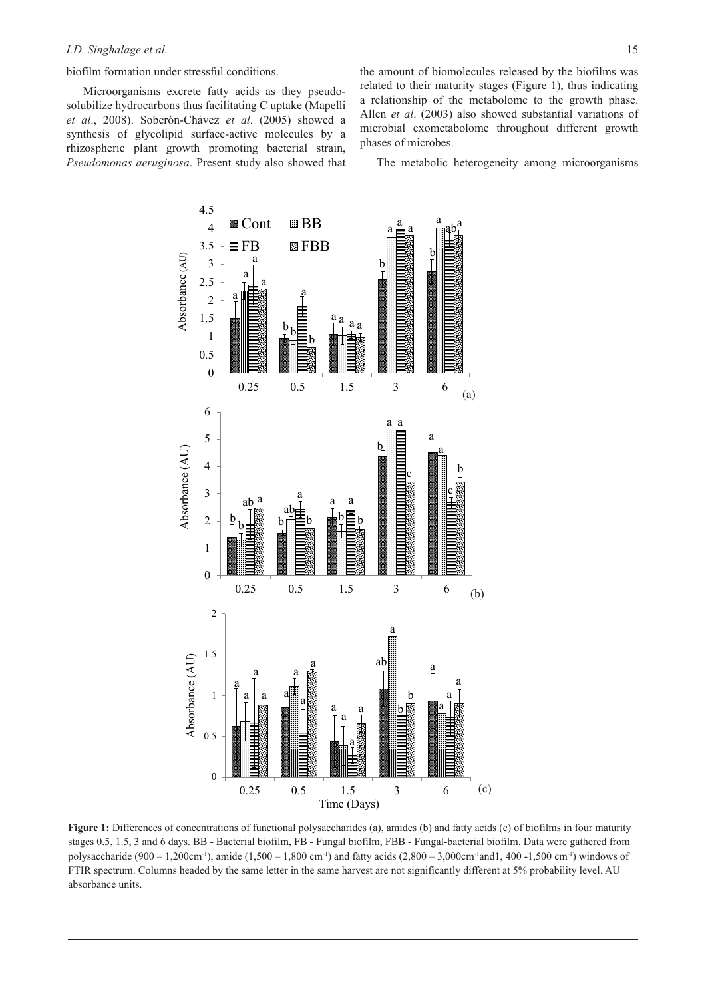biofilm formation under stressful conditions.

Microorganisms excrete fatty acids as they pseudosolubilize hydrocarbons thus facilitating C uptake (Mapelli *et al*., 2008). Soberón-Chávez *et al*. (2005) showed a synthesis of glycolipid surface-active molecules by a rhizospheric plant growth promoting bacterial strain, *Pseudomonas aeruginosa*. Present study also showed that

the amount of biomolecules released by the biofilms was related to their maturity stages (Figure 1), thus indicating a relationship of the metabolome to the growth phase. Allen *et al*. (2003) also showed substantial variations of microbial exometabolome throughout different growth phases of microbes.

The metabolic heterogeneity among microorganisms



**Figure 1:** Differences of concentrations of functional polysaccharides (a), amides (b) and fatty acids (c) of biofilms in four maturity stages 0.5, 1.5, 3 and 6 days. BB - Bacterial biofilm, FB - Fungal biofilm, FBB - Fungal-bacterial biofilm. Data were gathered from polysaccharide  $(900 - 1,200 \text{cm}^{-1})$ , amide  $(1,500 - 1,800 \text{cm}^{-1})$  and fatty acids  $(2,800 - 3,000 \text{cm}^{-1} \text{and} 1,400 -1,500 \text{cm}^{-1})$  windows of FTIR spectrum. Columns headed by the same letter in the same harvest are not significantly different at 5% probability level. AU absorbance units.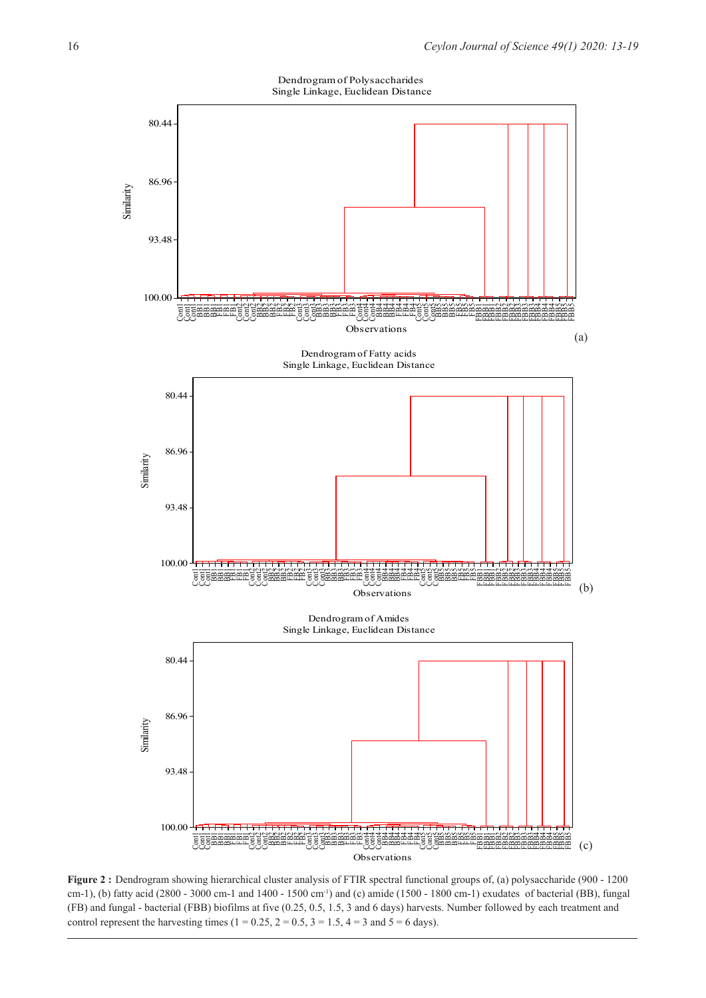



**Figure 2 :** Dendrogram showing hierarchical cluster analysis of FTIR spectral functional groups of, (a) polysaccharide (900 - 1200 cm-1), (b) fatty acid (2800 - 3000 cm-1 and 1400 - 1500 cm-1) and (c) amide (1500 - 1800 cm-1) exudates of bacterial (BB), fungal (FB) and fungal - bacterial (FBB) biofilms at five (0.25, 0.5, 1.5, 3 and 6 days) harvests. Number followed by each treatment and control represent the harvesting times ( $1 = 0.25$ ,  $2 = 0.5$ ,  $3 = 1.5$ ,  $4 = 3$  and  $5 = 6$  days).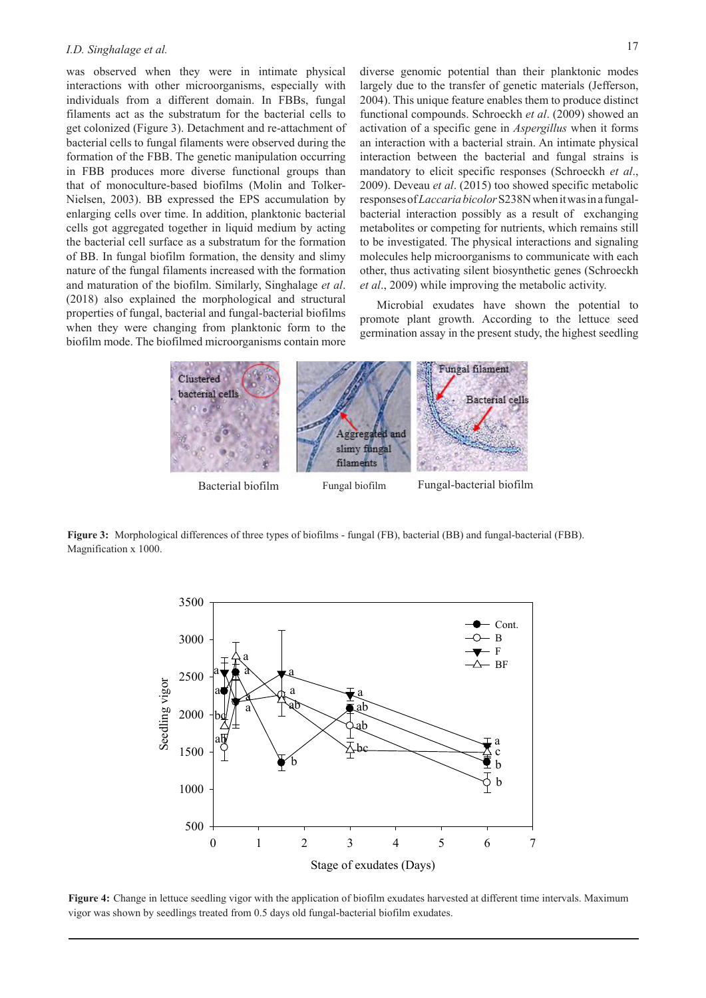## *I.D. Singhalage et al.* 17

was observed when they were in intimate physical interactions with other microorganisms, especially with individuals from a different domain. In FBBs, fungal filaments act as the substratum for the bacterial cells to get colonized (Figure 3). Detachment and re-attachment of bacterial cells to fungal filaments were observed during the formation of the FBB. The genetic manipulation occurring in FBB produces more diverse functional groups than that of monoculture-based biofilms (Molin and Tolker-Nielsen, 2003). BB expressed the EPS accumulation by enlarging cells over time. In addition, planktonic bacterial cells got aggregated together in liquid medium by acting the bacterial cell surface as a substratum for the formation of BB. In fungal biofilm formation, the density and slimy nature of the fungal filaments increased with the formation and maturation of the biofilm. Similarly, Singhalage *et al*. (2018) also explained the morphological and structural properties of fungal, bacterial and fungal-bacterial biofilms when they were changing from planktonic form to the biofilm mode. The biofilmed microorganisms contain more

diverse genomic potential than their planktonic modes largely due to the transfer of genetic materials (Jefferson, 2004). This unique feature enables them to produce distinct functional compounds. Schroeckh *et al*. (2009) showed an activation of a specific gene in *Aspergillus* when it forms an interaction with a bacterial strain. An intimate physical interaction between the bacterial and fungal strains is mandatory to elicit specific responses (Schroeckh *et al*., 2009). Deveau *et al*. (2015) too showed specific metabolic responses of *Laccaria bicolor* S238N when it was in a fungalbacterial interaction possibly as a result of exchanging metabolites or competing for nutrients, which remains still to be investigated. The physical interactions and signaling molecules help microorganisms to communicate with each other, thus activating silent biosynthetic genes (Schroeckh *et al*., 2009) while improving the metabolic activity.

Microbial exudates have shown the potential to promote plant growth. According to the lettuce seed germination assay in the present study, the highest seedling



**Figure 3:** Morphological differences of three types of biofilms - fungal (FB), bacterial (BB) and fungal-bacterial (FBB). Magnification x 1000.



**Figure 4:** Change in lettuce seedling vigor with the application of biofilm exudates harvested at different time intervals. Maximum vigor was shown by seedlings treated from 0.5 days old fungal-bacterial biofilm exudates.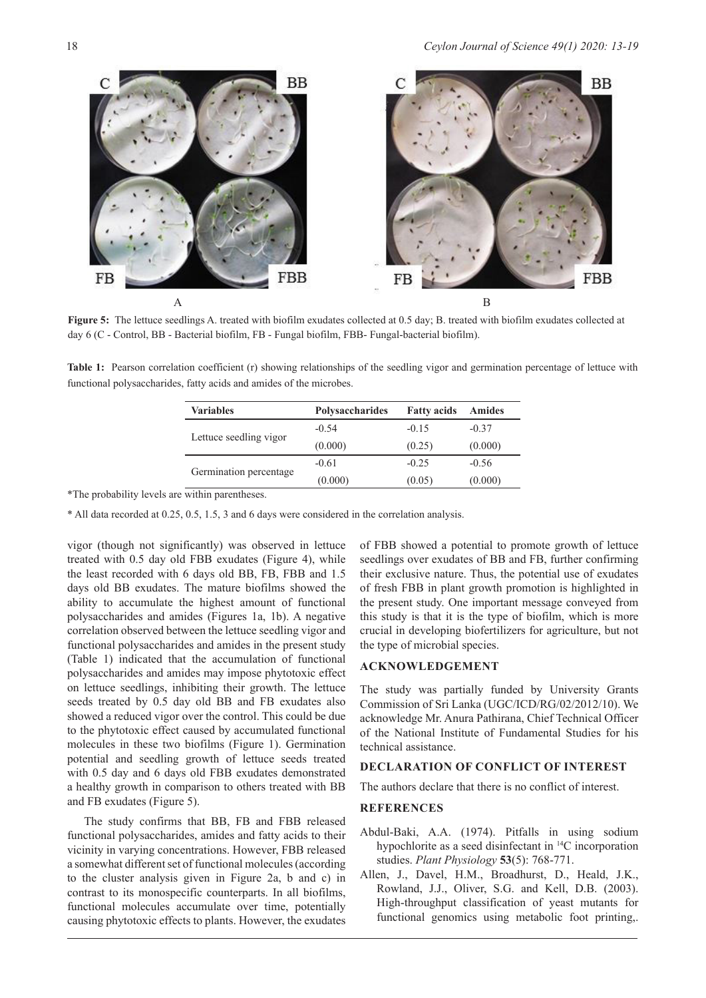

**Figure 5:** The lettuce seedlings A. treated with biofilm exudates collected at 0.5 day; B. treated with biofilm exudates collected at day 6 (C - Control, BB - Bacterial biofilm, FB - Fungal biofilm, FBB- Fungal-bacterial biofilm).

**Table 1:** Pearson correlation coefficient (r) showing relationships of the seedling vigor and germination percentage of lettuce with functional polysaccharides, fatty acids and amides of the microbes.

| <b>Variables</b>       | <b>Polysaccharides</b> | <b>Fatty acids</b> | Amides  |
|------------------------|------------------------|--------------------|---------|
| Lettuce seedling vigor | $-0.54$                | $-0.15$            | $-0.37$ |
|                        | (0.000)                | (0.25)             | (0.000) |
| Germination percentage | $-0.61$                | $-0.25$            | $-0.56$ |
|                        | (0.000)                | (0.05)             | (0.000) |

\*The probability levels are within parentheses.

\* All data recorded at 0.25, 0.5, 1.5, 3 and 6 days were considered in the correlation analysis.

vigor (though not significantly) was observed in lettuce treated with 0.5 day old FBB exudates (Figure 4), while the least recorded with 6 days old BB, FB, FBB and 1.5 days old BB exudates. The mature biofilms showed the ability to accumulate the highest amount of functional polysaccharides and amides (Figures 1a, 1b). A negative correlation observed between the lettuce seedling vigor and functional polysaccharides and amides in the present study (Table 1) indicated that the accumulation of functional polysaccharides and amides may impose phytotoxic effect on lettuce seedlings, inhibiting their growth. The lettuce seeds treated by 0.5 day old BB and FB exudates also showed a reduced vigor over the control. This could be due to the phytotoxic effect caused by accumulated functional molecules in these two biofilms (Figure 1). Germination potential and seedling growth of lettuce seeds treated with 0.5 day and 6 days old FBB exudates demonstrated a healthy growth in comparison to others treated with BB and FB exudates (Figure 5).

The study confirms that BB, FB and FBB released functional polysaccharides, amides and fatty acids to their vicinity in varying concentrations. However, FBB released a somewhat different set of functional molecules (according to the cluster analysis given in Figure 2a, b and c) in contrast to its monospecific counterparts. In all biofilms, functional molecules accumulate over time, potentially causing phytotoxic effects to plants. However, the exudates

of FBB showed a potential to promote growth of lettuce seedlings over exudates of BB and FB, further confirming their exclusive nature. Thus, the potential use of exudates of fresh FBB in plant growth promotion is highlighted in the present study. One important message conveyed from this study is that it is the type of biofilm, which is more crucial in developing biofertilizers for agriculture, but not the type of microbial species.

### **ACKNOWLEDGEMENT**

The study was partially funded by University Grants Commission of Sri Lanka (UGC/ICD/RG/02/2012/10). We acknowledge Mr. Anura Pathirana, Chief Technical Officer of the National Institute of Fundamental Studies for his technical assistance.

## **DECLARATION OF CONFLICT OF INTEREST**

The authors declare that there is no conflict of interest.

#### **REFERENCES**

- Abdul-Baki, A.A. (1974). Pitfalls in using sodium hypochlorite as a seed disinfectant in 14C incorporation studies. *Plant Physiology* **53**(5): 768-771.
- Allen, J., Davel, H.M., Broadhurst, D., Heald, J.K., Rowland, J.J., Oliver, S.G. and Kell, D.B. (2003). High-throughput classification of yeast mutants for functional genomics using metabolic foot printing,.